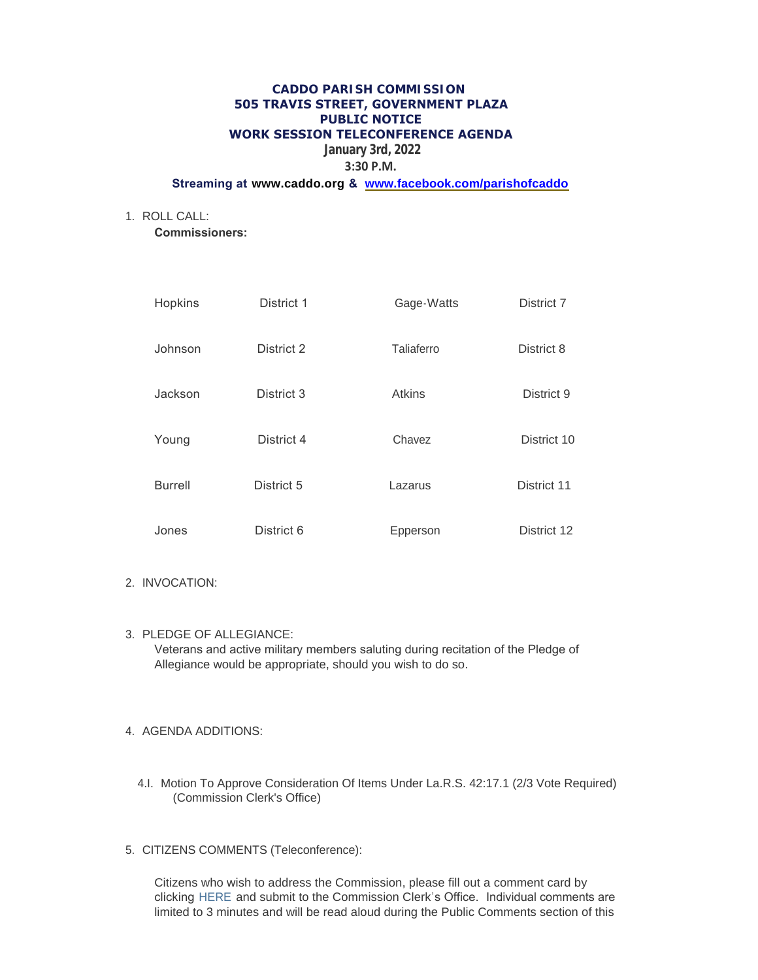#### **CADDO PARISH COMMISSION 505 TRAVIS STREET, GOVERNMENT PLAZA PUBLIC NOTICE WORK SESSION TELECONFERENCE AGENDA**

# **January 3rd, 2022**

# **3:30 P.M.**

## **Streaming at [www.caddo.org](http://www.caddo.org/) & [www.facebook.com/parishofcaddo](http://www.facebook.com/parishofcaddo)**

ROLL CALL: 1.

**Commissioners:** 

| Hopkins        | District 1 | Gage-Watts    | District 7  |
|----------------|------------|---------------|-------------|
| Johnson        | District 2 | Taliaferro    | District 8  |
| Jackson        | District 3 | <b>Atkins</b> | District 9  |
| Young          | District 4 | Chavez        | District 10 |
| <b>Burrell</b> | District 5 | Lazarus       | District 11 |
| Jones          | District 6 | Epperson      | District 12 |

#### 2. INVOCATION:

PLEDGE OF ALLEGIANCE: 3. Veterans and active military members saluting during recitation of the Pledge of Allegiance would be appropriate, should you wish to do so.

#### AGENDA ADDITIONS: 4.

- 4.I. Motion To Approve Consideration Of Items Under La.R.S. 42:17.1 (2/3 Vote Required) (Commission Clerk's Office)
- CITIZENS COMMENTS (Teleconference): 5.

Citizens who wish to address the Commission, please fill out a comment card by clicking [HERE](http://www.caddo.org/FormCenter/Commission-Clerks-Office-9/Citizens-Comment-Card-63) and submit to the Commission Clerk's Office. Individual comments are limited to 3 minutes and will be read aloud during the Public Comments section of this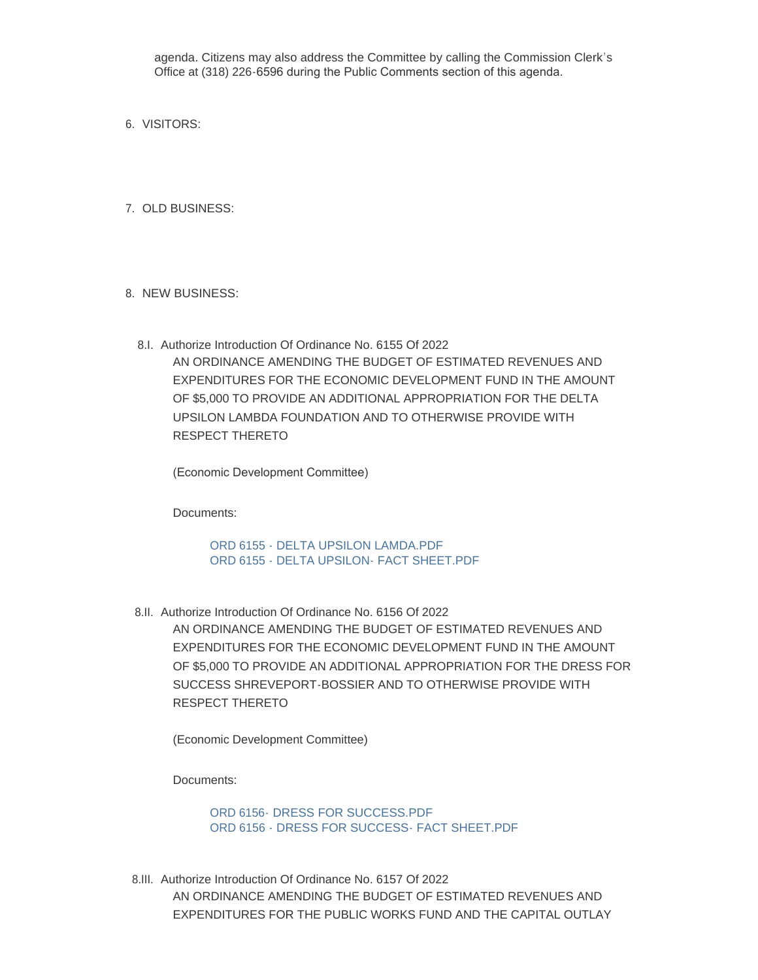agenda. Citizens may also address the Committee by calling the Commission Clerk's Office at (318) 226-6596 during the Public Comments section of this agenda.

- 6. VISITORS:
- 7. OLD BUSINESS:
- 8. NEW BUSINESS:
	- 8.I. Authorize Introduction Of Ordinance No. 6155 Of 2022 AN ORDINANCE AMENDING THE BUDGET OF ESTIMATED REVENUES AND EXPENDITURES FOR THE ECONOMIC DEVELOPMENT FUND IN THE AMOUNT OF \$5,000 TO PROVIDE AN ADDITIONAL APPROPRIATION FOR THE DELTA UPSILON LAMBDA FOUNDATION AND TO OTHERWISE PROVIDE WITH RESPECT THERETO

(Economic Development Committee)

Documents:

[ORD 6155 - DELTA UPSILON LAMDA.PDF](http://la-caddoparish.civicplus.com/AgendaCenter/ViewFile/Item/18643?fileID=14214) [ORD 6155 - DELTA UPSILON- FACT SHEET.PDF](http://la-caddoparish.civicplus.com/AgendaCenter/ViewFile/Item/18643?fileID=14215)

8.II. Authorize Introduction Of Ordinance No. 6156 Of 2022

AN ORDINANCE AMENDING THE BUDGET OF ESTIMATED REVENUES AND EXPENDITURES FOR THE ECONOMIC DEVELOPMENT FUND IN THE AMOUNT OF \$5,000 TO PROVIDE AN ADDITIONAL APPROPRIATION FOR THE DRESS FOR SUCCESS SHREVEPORT-BOSSIER AND TO OTHERWISE PROVIDE WITH RESPECT THERETO

(Economic Development Committee)

Documents:

[ORD 6156- DRESS FOR SUCCESS.PDF](http://la-caddoparish.civicplus.com/AgendaCenter/ViewFile/Item/18644?fileID=14216) [ORD 6156 - DRESS FOR SUCCESS- FACT SHEET.PDF](http://la-caddoparish.civicplus.com/AgendaCenter/ViewFile/Item/18644?fileID=14217)

8.III. Authorize Introduction Of Ordinance No. 6157 Of 2022 AN ORDINANCE AMENDING THE BUDGET OF ESTIMATED REVENUES AND EXPENDITURES FOR THE PUBLIC WORKS FUND AND THE CAPITAL OUTLAY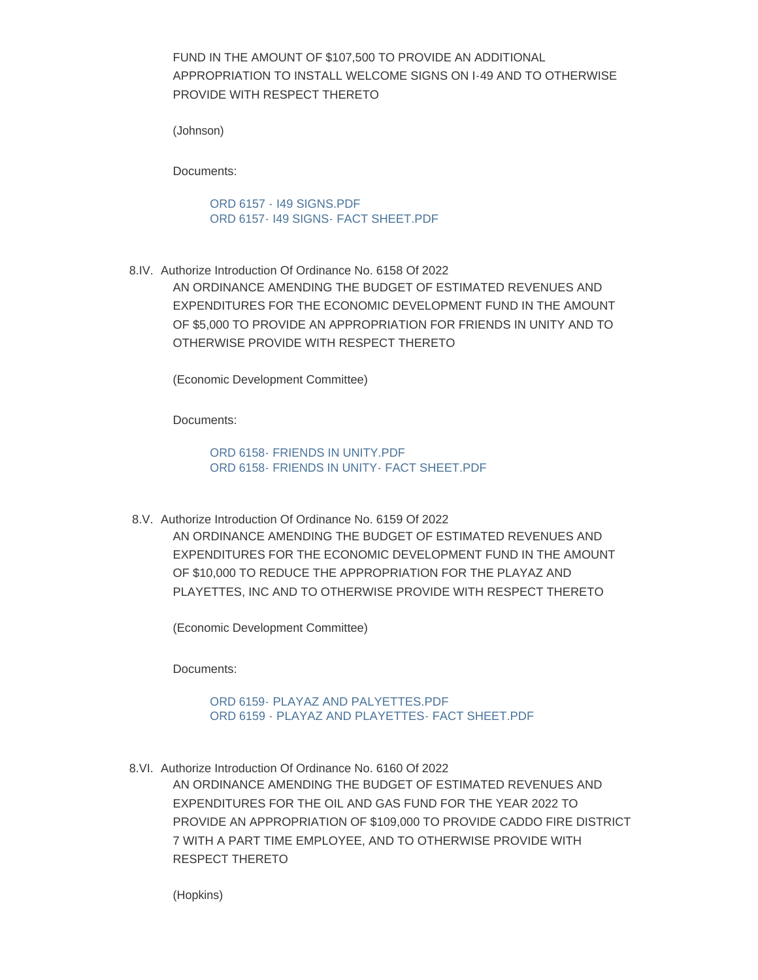FUND IN THE AMOUNT OF \$107,500 TO PROVIDE AN ADDITIONAL APPROPRIATION TO INSTALL WELCOME SIGNS ON I-49 AND TO OTHERWISE PROVIDE WITH RESPECT THERETO

(Johnson)

Documents:

[ORD 6157 - I49 SIGNS.PDF](http://la-caddoparish.civicplus.com/AgendaCenter/ViewFile/Item/18645?fileID=14218) [ORD 6157- I49 SIGNS- FACT SHEET.PDF](http://la-caddoparish.civicplus.com/AgendaCenter/ViewFile/Item/18645?fileID=14219)

8.IV. Authorize Introduction Of Ordinance No. 6158 Of 2022

AN ORDINANCE AMENDING THE BUDGET OF ESTIMATED REVENUES AND EXPENDITURES FOR THE ECONOMIC DEVELOPMENT FUND IN THE AMOUNT OF \$5,000 TO PROVIDE AN APPROPRIATION FOR FRIENDS IN UNITY AND TO OTHERWISE PROVIDE WITH RESPECT THERETO

(Economic Development Committee)

Documents:

ORD 6158- FRIENDS IN UNITY PDF [ORD 6158- FRIENDS IN UNITY- FACT SHEET.PDF](http://la-caddoparish.civicplus.com/AgendaCenter/ViewFile/Item/18646?fileID=14210)

8.V. Authorize Introduction Of Ordinance No. 6159 Of 2022 AN ORDINANCE AMENDING THE BUDGET OF ESTIMATED REVENUES AND EXPENDITURES FOR THE ECONOMIC DEVELOPMENT FUND IN THE AMOUNT OF \$10,000 TO REDUCE THE APPROPRIATION FOR THE PLAYAZ AND PLAYETTES, INC AND TO OTHERWISE PROVIDE WITH RESPECT THERETO

(Economic Development Committee)

Documents:

[ORD 6159- PLAYAZ AND PALYETTES.PDF](http://la-caddoparish.civicplus.com/AgendaCenter/ViewFile/Item/18647?fileID=14220) [ORD 6159 - PLAYAZ AND PLAYETTES- FACT SHEET.PDF](http://la-caddoparish.civicplus.com/AgendaCenter/ViewFile/Item/18647?fileID=14221)

8.VI. Authorize Introduction Of Ordinance No. 6160 Of 2022 AN ORDINANCE AMENDING THE BUDGET OF ESTIMATED REVENUES AND

EXPENDITURES FOR THE OIL AND GAS FUND FOR THE YEAR 2022 TO PROVIDE AN APPROPRIATION OF \$109,000 TO PROVIDE CADDO FIRE DISTRICT 7 WITH A PART TIME EMPLOYEE, AND TO OTHERWISE PROVIDE WITH RESPECT THERETO

(Hopkins)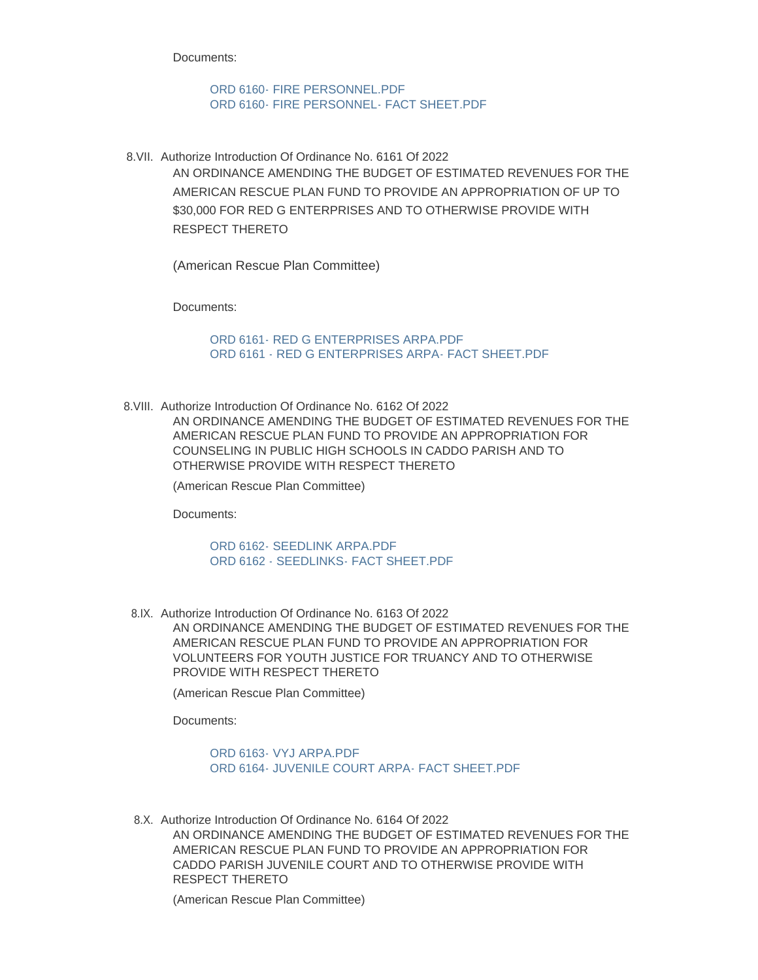Documents:

[ORD 6160- FIRE PERSONNEL.PDF](http://la-caddoparish.civicplus.com/AgendaCenter/ViewFile/Item/18642?fileID=14224) [ORD 6160- FIRE PERSONNEL- FACT SHEET.PDF](http://la-caddoparish.civicplus.com/AgendaCenter/ViewFile/Item/18642?fileID=14225)

8. VII. Authorize Introduction Of Ordinance No. 6161 Of 2022 AN ORDINANCE AMENDING THE BUDGET OF ESTIMATED REVENUES FOR THE AMERICAN RESCUE PLAN FUND TO PROVIDE AN APPROPRIATION OF UP TO \$30,000 FOR RED G ENTERPRISES AND TO OTHERWISE PROVIDE WITH RESPECT THERETO

(American Rescue Plan Committee)

Documents:

[ORD 6161- RED G ENTERPRISES ARPA.PDF](http://la-caddoparish.civicplus.com/AgendaCenter/ViewFile/Item/18649?fileID=14211) [ORD 6161 - RED G ENTERPRISES ARPA- FACT SHEET.PDF](http://la-caddoparish.civicplus.com/AgendaCenter/ViewFile/Item/18649?fileID=14212)

8. VIII. Authorize Introduction Of Ordinance No. 6162 Of 2022 AN ORDINANCE AMENDING THE BUDGET OF ESTIMATED REVENUES FOR THE AMERICAN RESCUE PLAN FUND TO PROVIDE AN APPROPRIATION FOR COUNSELING IN PUBLIC HIGH SCHOOLS IN CADDO PARISH AND TO OTHERWISE PROVIDE WITH RESPECT THERETO

(American Rescue Plan Committee)

Documents:

[ORD 6162- SEEDLINK ARPA.PDF](http://la-caddoparish.civicplus.com/AgendaCenter/ViewFile/Item/18650?fileID=14226) [ORD 6162 - SEEDLINKS- FACT SHEET.PDF](http://la-caddoparish.civicplus.com/AgendaCenter/ViewFile/Item/18650?fileID=14227)

8.IX. Authorize Introduction Of Ordinance No. 6163 Of 2022 AN ORDINANCE AMENDING THE BUDGET OF ESTIMATED REVENUES FOR THE AMERICAN RESCUE PLAN FUND TO PROVIDE AN APPROPRIATION FOR VOLUNTEERS FOR YOUTH JUSTICE FOR TRUANCY AND TO OTHERWISE PROVIDE WITH RESPECT THERETO

(American Rescue Plan Committee)

Documents:

[ORD 6163- VYJ ARPA.PDF](http://la-caddoparish.civicplus.com/AgendaCenter/ViewFile/Item/18651?fileID=14222) [ORD 6164- JUVENILE COURT ARPA- FACT SHEET.PDF](http://la-caddoparish.civicplus.com/AgendaCenter/ViewFile/Item/18651?fileID=14223)

8.X. Authorize Introduction Of Ordinance No. 6164 Of 2022 AN ORDINANCE AMENDING THE BUDGET OF ESTIMATED REVENUES FOR THE AMERICAN RESCUE PLAN FUND TO PROVIDE AN APPROPRIATION FOR CADDO PARISH JUVENILE COURT AND TO OTHERWISE PROVIDE WITH RESPECT THERETO

(American Rescue Plan Committee)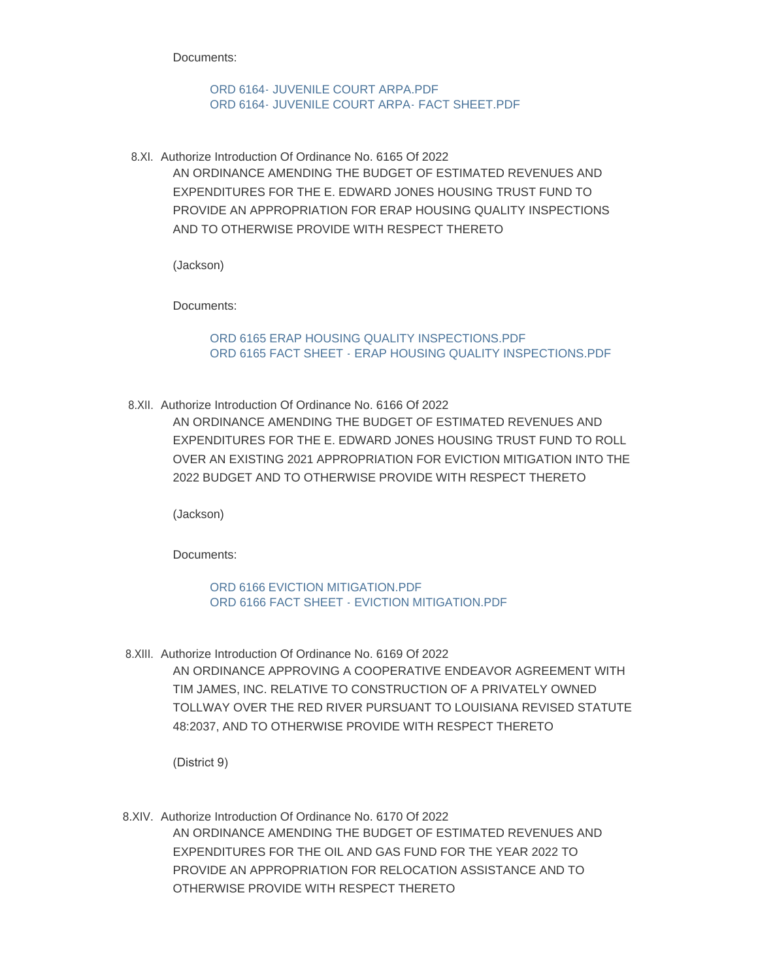Documents:

[ORD 6164- JUVENILE COURT ARPA.PDF](http://la-caddoparish.civicplus.com/AgendaCenter/ViewFile/Item/18648?fileID=14228) [ORD 6164- JUVENILE COURT ARPA- FACT SHEET.PDF](http://la-caddoparish.civicplus.com/AgendaCenter/ViewFile/Item/18648?fileID=14229)

8.XI. Authorize Introduction Of Ordinance No. 6165 Of 2022 AN ORDINANCE AMENDING THE BUDGET OF ESTIMATED REVENUES AND EXPENDITURES FOR THE E. EDWARD JONES HOUSING TRUST FUND TO PROVIDE AN APPROPRIATION FOR ERAP HOUSING QUALITY INSPECTIONS AND TO OTHERWISE PROVIDE WITH RESPECT THERETO

(Jackson)

Documents:

[ORD 6165 ERAP HOUSING QUALITY INSPECTIONS.PDF](http://la-caddoparish.civicplus.com/AgendaCenter/ViewFile/Item/18667?fileID=14239) [ORD 6165 FACT SHEET - ERAP HOUSING QUALITY INSPECTIONS.PDF](http://la-caddoparish.civicplus.com/AgendaCenter/ViewFile/Item/18667?fileID=14240)

8.XII. Authorize Introduction Of Ordinance No. 6166 Of 2022

AN ORDINANCE AMENDING THE BUDGET OF ESTIMATED REVENUES AND EXPENDITURES FOR THE E. EDWARD JONES HOUSING TRUST FUND TO ROLL OVER AN EXISTING 2021 APPROPRIATION FOR EVICTION MITIGATION INTO THE 2022 BUDGET AND TO OTHERWISE PROVIDE WITH RESPECT THERETO

(Jackson)

Documents:

[ORD 6166 EVICTION MITIGATION.PDF](http://la-caddoparish.civicplus.com/AgendaCenter/ViewFile/Item/18668?fileID=14241) [ORD 6166 FACT SHEET - EVICTION MITIGATION.PDF](http://la-caddoparish.civicplus.com/AgendaCenter/ViewFile/Item/18668?fileID=14242)

8.XIII. Authorize Introduction Of Ordinance No. 6169 Of 2022 AN ORDINANCE APPROVING A COOPERATIVE ENDEAVOR AGREEMENT WITH TIM JAMES, INC. RELATIVE TO CONSTRUCTION OF A PRIVATELY OWNED TOLLWAY OVER THE RED RIVER PURSUANT TO LOUISIANA REVISED STATUTE 48:2037, AND TO OTHERWISE PROVIDE WITH RESPECT THERETO

(District 9)

8.XIV. Authorize Introduction Of Ordinance No. 6170 Of 2022 AN ORDINANCE AMENDING THE BUDGET OF ESTIMATED REVENUES AND EXPENDITURES FOR THE OIL AND GAS FUND FOR THE YEAR 2022 TO PROVIDE AN APPROPRIATION FOR RELOCATION ASSISTANCE AND TO OTHERWISE PROVIDE WITH RESPECT THERETO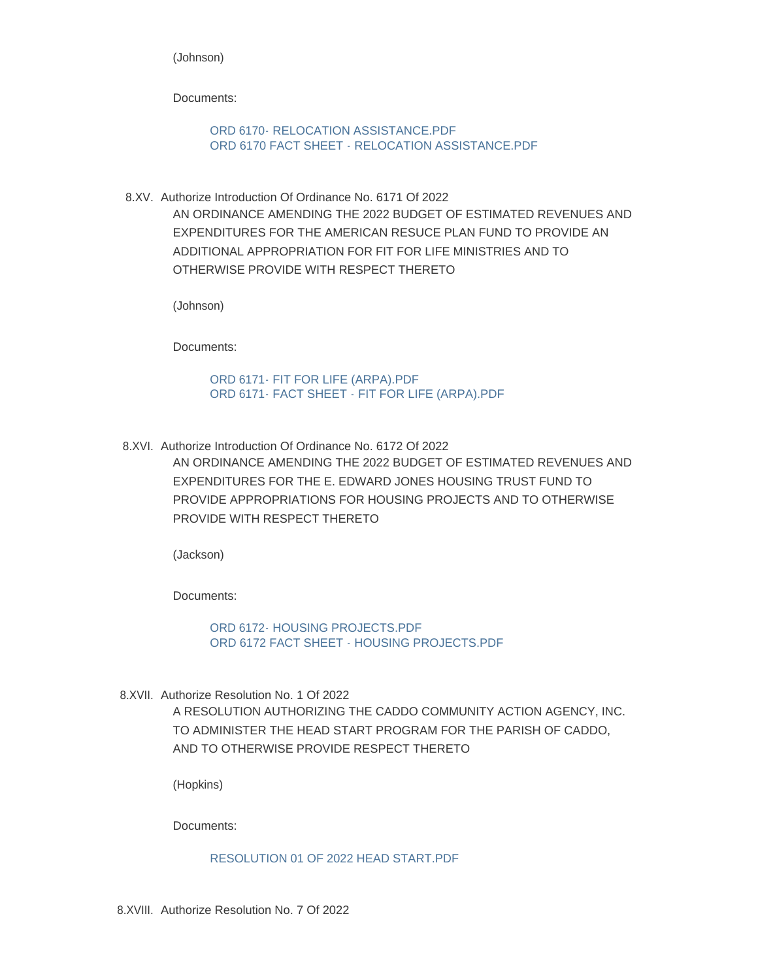(Johnson)

Documents:

[ORD 6170- RELOCATION ASSISTANCE.PDF](http://la-caddoparish.civicplus.com/AgendaCenter/ViewFile/Item/18676?fileID=14243) [ORD 6170 FACT SHEET - RELOCATION ASSISTANCE.PDF](http://la-caddoparish.civicplus.com/AgendaCenter/ViewFile/Item/18676?fileID=14244)

8.XV. Authorize Introduction Of Ordinance No. 6171 Of 2022 AN ORDINANCE AMENDING THE 2022 BUDGET OF ESTIMATED REVENUES AND EXPENDITURES FOR THE AMERICAN RESUCE PLAN FUND TO PROVIDE AN ADDITIONAL APPROPRIATION FOR FIT FOR LIFE MINISTRIES AND TO OTHERWISE PROVIDE WITH RESPECT THERETO

(Johnson)

Documents:

[ORD 6171- FIT FOR LIFE \(ARPA\).PDF](http://la-caddoparish.civicplus.com/AgendaCenter/ViewFile/Item/18677?fileID=14245) [ORD 6171- FACT SHEET - FIT FOR LIFE \(ARPA\).PDF](http://la-caddoparish.civicplus.com/AgendaCenter/ViewFile/Item/18677?fileID=14246)

8.XVI. Authorize Introduction Of Ordinance No. 6172 Of 2022

AN ORDINANCE AMENDING THE 2022 BUDGET OF ESTIMATED REVENUES AND EXPENDITURES FOR THE E. EDWARD JONES HOUSING TRUST FUND TO PROVIDE APPROPRIATIONS FOR HOUSING PROJECTS AND TO OTHERWISE PROVIDE WITH RESPECT THERETO

(Jackson)

Documents:

[ORD 6172- HOUSING PROJECTS.PDF](http://la-caddoparish.civicplus.com/AgendaCenter/ViewFile/Item/18680?fileID=14249) [ORD 6172 FACT SHEET - HOUSING PROJECTS.PDF](http://la-caddoparish.civicplus.com/AgendaCenter/ViewFile/Item/18680?fileID=14250)

8.XVII. Authorize Resolution No. 1 Of 2022 A RESOLUTION AUTHORIZING THE CADDO COMMUNITY ACTION AGENCY, INC. TO ADMINISTER THE HEAD START PROGRAM FOR THE PARISH OF CADDO, AND TO OTHERWISE PROVIDE RESPECT THERETO

(Hopkins)

Documents:

#### [RESOLUTION 01 OF 2022 HEAD START.PDF](http://la-caddoparish.civicplus.com/AgendaCenter/ViewFile/Item/18652?fileID=14247)

8.XVIII. Authorize Resolution No. 7 Of 2022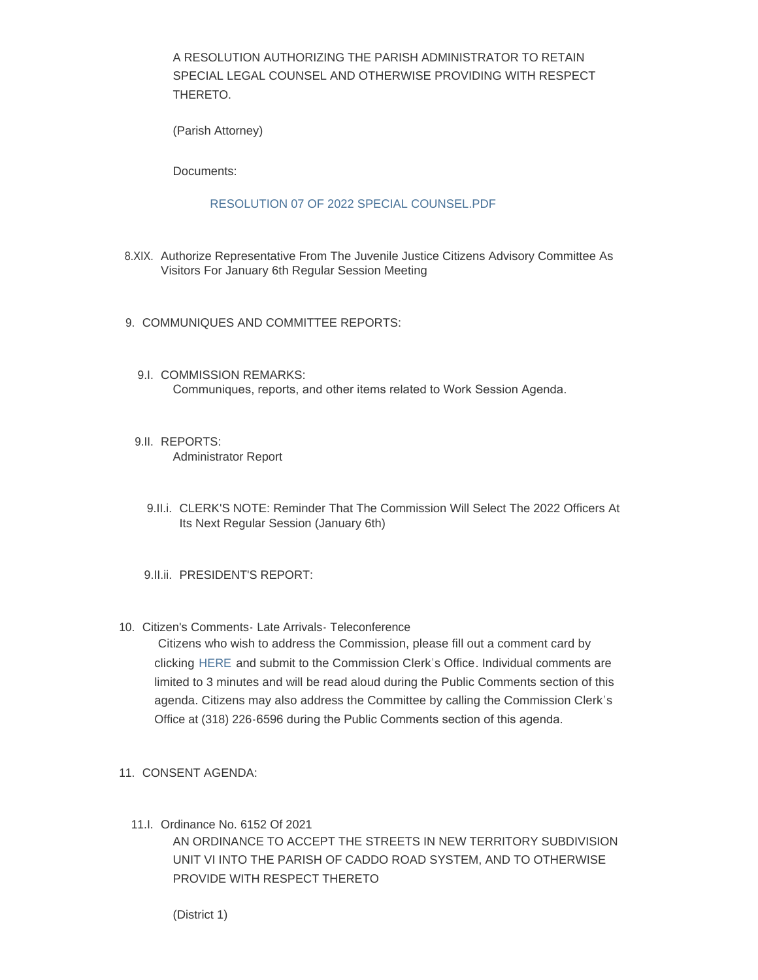A RESOLUTION AUTHORIZING THE PARISH ADMINISTRATOR TO RETAIN SPECIAL LEGAL COUNSEL AND OTHERWISE PROVIDING WITH RESPECT THERETO.

(Parish Attorney)

Documents:

#### [RESOLUTION 07 OF 2022 SPECIAL COUNSEL.PDF](http://la-caddoparish.civicplus.com/AgendaCenter/ViewFile/Item/18678?fileID=14253)

- 8.XIX. Authorize Representative From The Juvenile Justice Citizens Advisory Committee As Visitors For January 6th Regular Session Meeting
- 9. COMMUNIQUES AND COMMITTEE REPORTS:
	- 9.I. COMMISSION REMARKS: Communiques, reports, and other items related to Work Session Agenda.
	- 9.II. REPORTS: Administrator Report
		- 9.II.i. CLERK'S NOTE: Reminder That The Commission Will Select The 2022 Officers At Its Next Regular Session (January 6th)
	- 9.II.ii. PRESIDENT'S REPORT:
- 10. Citizen's Comments- Late Arrivals- Teleconference

Citizens who wish to address the Commission, please fill out a comment card by clicking [HERE](http://www.caddo.org/FormCenter/Commission-Clerks-Office-9/Citizens-Comment-Card-63) and submit to the Commission Clerk's Office. Individual comments are limited to 3 minutes and will be read aloud during the Public Comments section of this agenda. Citizens may also address the Committee by calling the Commission Clerk's Office at (318) 226-6596 during the Public Comments section of this agenda.

- 11. CONSENT AGENDA:
	- 11.I. Ordinance No. 6152 Of 2021 AN ORDINANCE TO ACCEPT THE STREETS IN NEW TERRITORY SUBDIVISION UNIT VI INTO THE PARISH OF CADDO ROAD SYSTEM, AND TO OTHERWISE PROVIDE WITH RESPECT THERETO

(District 1)